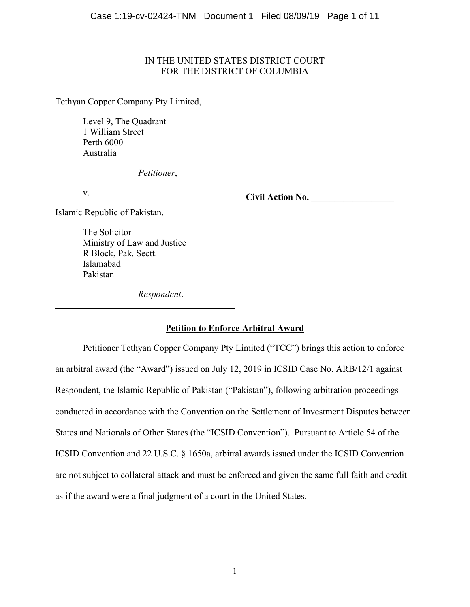## IN THE UNITED STATES DISTRICT COURT FOR THE DISTRICT OF COLUMBIA

 $\overline{1}$ 

| Tethyan Copper Company Pty Limited,                                                 |                         |
|-------------------------------------------------------------------------------------|-------------------------|
| Level 9, The Quadrant<br>1 William Street<br>Perth 6000<br>Australia<br>Petitioner, |                         |
|                                                                                     |                         |
| V.                                                                                  | <b>Civil Action No.</b> |
| Islamic Republic of Pakistan,                                                       |                         |
| The Solicitor                                                                       |                         |
| Ministry of Law and Justice<br>R Block, Pak. Sectt.                                 |                         |
| Islamabad                                                                           |                         |
| Pakistan                                                                            |                         |
| Respondent.                                                                         |                         |

# **Petition to Enforce Arbitral Award**

Petitioner Tethyan Copper Company Pty Limited ("TCC") brings this action to enforce an arbitral award (the "Award") issued on July 12, 2019 in ICSID Case No. ARB/12/1 against Respondent, the Islamic Republic of Pakistan ("Pakistan"), following arbitration proceedings conducted in accordance with the Convention on the Settlement of Investment Disputes between States and Nationals of Other States (the "ICSID Convention"). Pursuant to Article 54 of the ICSID Convention and 22 U.S.C. § 1650a, arbitral awards issued under the ICSID Convention are not subject to collateral attack and must be enforced and given the same full faith and credit as if the award were a final judgment of a court in the United States.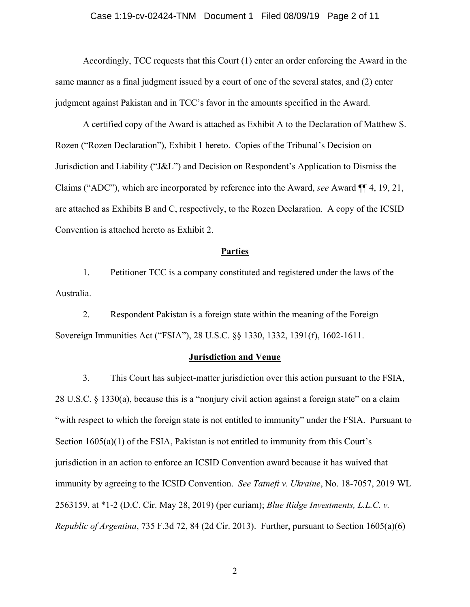#### Case 1:19-cv-02424-TNM Document 1 Filed 08/09/19 Page 2 of 11

Accordingly, TCC requests that this Court (1) enter an order enforcing the Award in the same manner as a final judgment issued by a court of one of the several states, and (2) enter judgment against Pakistan and in TCC's favor in the amounts specified in the Award.

A certified copy of the Award is attached as Exhibit A to the Declaration of Matthew S. Rozen ("Rozen Declaration"), Exhibit 1 hereto. Copies of the Tribunal's Decision on Jurisdiction and Liability ("J&L") and Decision on Respondent's Application to Dismiss the Claims ("ADC"), which are incorporated by reference into the Award, *see* Award ¶¶ 4, 19, 21, are attached as Exhibits B and C, respectively, to the Rozen Declaration. A copy of the ICSID Convention is attached hereto as Exhibit 2.

## **Parties**

1. Petitioner TCC is a company constituted and registered under the laws of the Australia.

2. Respondent Pakistan is a foreign state within the meaning of the Foreign Sovereign Immunities Act ("FSIA"), 28 U.S.C. §§ 1330, 1332, 1391(f), 1602-1611.

#### **Jurisdiction and Venue**

3. This Court has subject-matter jurisdiction over this action pursuant to the FSIA, 28 U.S.C. § 1330(a), because this is a "nonjury civil action against a foreign state" on a claim "with respect to which the foreign state is not entitled to immunity" under the FSIA. Pursuant to Section 1605(a)(1) of the FSIA, Pakistan is not entitled to immunity from this Court's jurisdiction in an action to enforce an ICSID Convention award because it has waived that immunity by agreeing to the ICSID Convention. *See Tatneft v. Ukraine*, No. 18-7057, 2019 WL 2563159, at \*1-2 (D.C. Cir. May 28, 2019) (per curiam); *Blue Ridge Investments, L.L.C. v. Republic of Argentina*, 735 F.3d 72, 84 (2d Cir. 2013). Further, pursuant to Section 1605(a)(6)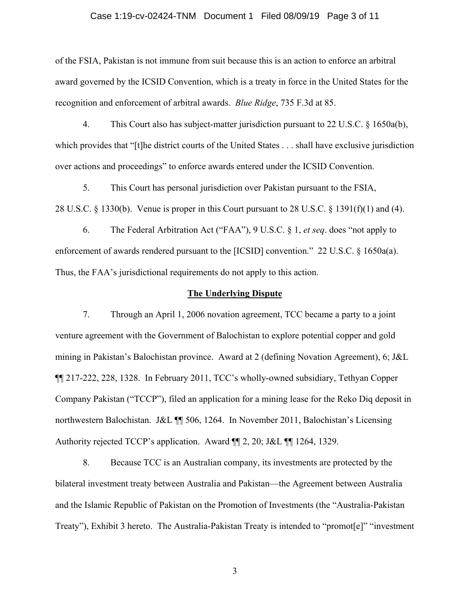#### Case 1:19-cv-02424-TNM Document 1 Filed 08/09/19 Page 3 of 11

of the FSIA, Pakistan is not immune from suit because this is an action to enforce an arbitral award governed by the ICSID Convention, which is a treaty in force in the United States for the recognition and enforcement of arbitral awards. *Blue Ridge*, 735 F.3d at 85.

4. This Court also has subject-matter jurisdiction pursuant to 22 U.S.C. § 1650a(b), which provides that "[t]he district courts of the United States . . . shall have exclusive jurisdiction over actions and proceedings" to enforce awards entered under the ICSID Convention.

5. This Court has personal jurisdiction over Pakistan pursuant to the FSIA, 28 U.S.C. § 1330(b). Venue is proper in this Court pursuant to 28 U.S.C. § 1391(f)(1) and (4).

6. The Federal Arbitration Act ("FAA"), 9 U.S.C. § 1, *et seq*. does "not apply to enforcement of awards rendered pursuant to the [ICSID] convention." 22 U.S.C. § 1650a(a). Thus, the FAA's jurisdictional requirements do not apply to this action.

## **The Underlying Dispute**

7. Through an April 1, 2006 novation agreement, TCC became a party to a joint venture agreement with the Government of Balochistan to explore potential copper and gold mining in Pakistan's Balochistan province. Award at 2 (defining Novation Agreement), 6; J&L ¶¶ 217-222, 228, 1328. In February 2011, TCC's wholly-owned subsidiary, Tethyan Copper Company Pakistan ("TCCP"), filed an application for a mining lease for the Reko Diq deposit in northwestern Balochistan. J&L ¶¶ 506, 1264. In November 2011, Balochistan's Licensing Authority rejected TCCP's application. Award ¶¶ 2, 20; J&L ¶¶ 1264, 1329.

8. Because TCC is an Australian company, its investments are protected by the bilateral investment treaty between Australia and Pakistan—the Agreement between Australia and the Islamic Republic of Pakistan on the Promotion of Investments (the "Australia-Pakistan Treaty"), Exhibit 3 hereto. The Australia-Pakistan Treaty is intended to "promot[e]" "investment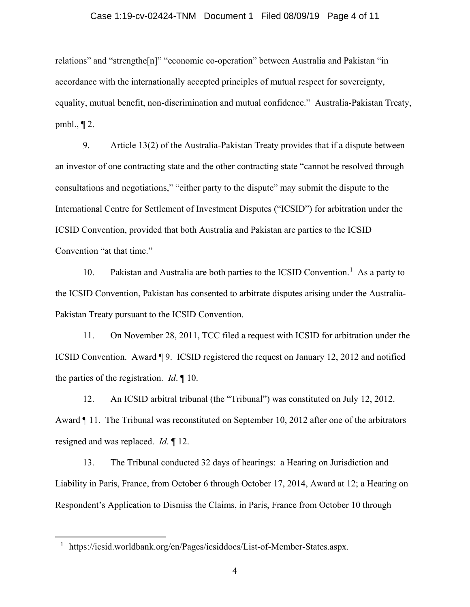#### Case 1:19-cv-02424-TNM Document 1 Filed 08/09/19 Page 4 of 11

relations" and "strengthe[n]" "economic co-operation" between Australia and Pakistan "in accordance with the internationally accepted principles of mutual respect for sovereignty, equality, mutual benefit, non-discrimination and mutual confidence." Australia-Pakistan Treaty, pmbl., ¶ 2.

9. Article 13(2) of the Australia-Pakistan Treaty provides that if a dispute between an investor of one contracting state and the other contracting state "cannot be resolved through consultations and negotiations," "either party to the dispute" may submit the dispute to the International Centre for Settlement of Investment Disputes ("ICSID") for arbitration under the ICSID Convention, provided that both Australia and Pakistan are parties to the ICSID Convention "at that time."

[1](#page-3-0)0. Pakistan and Australia are both parties to the ICSID Convention.<sup>1</sup> As a party to the ICSID Convention, Pakistan has consented to arbitrate disputes arising under the Australia-Pakistan Treaty pursuant to the ICSID Convention.

11. On November 28, 2011, TCC filed a request with ICSID for arbitration under the ICSID Convention. Award ¶ 9. ICSID registered the request on January 12, 2012 and notified the parties of the registration. *Id*. ¶ 10.

12. An ICSID arbitral tribunal (the "Tribunal") was constituted on July 12, 2012. Award ¶ 11. The Tribunal was reconstituted on September 10, 2012 after one of the arbitrators resigned and was replaced. *Id*. ¶ 12.

13. The Tribunal conducted 32 days of hearings: a Hearing on Jurisdiction and Liability in Paris, France, from October 6 through October 17, 2014, Award at 12; a Hearing on Respondent's Application to Dismiss the Claims, in Paris, France from October 10 through

<span id="page-3-0"></span> <sup>1</sup> https://icsid.worldbank.org/en/Pages/icsiddocs/List-of-Member-States.aspx.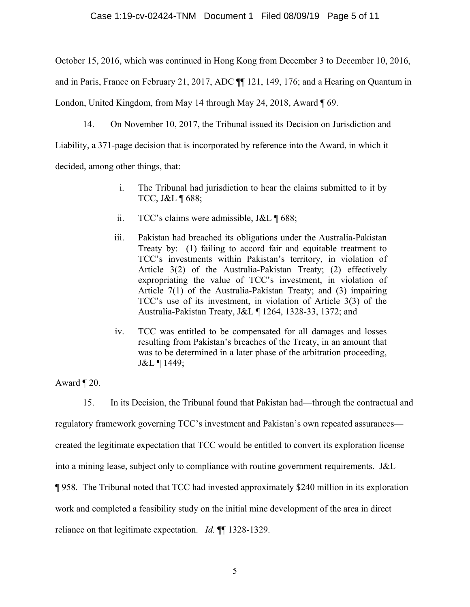October 15, 2016, which was continued in Hong Kong from December 3 to December 10, 2016,

and in Paris, France on February 21, 2017, ADC ¶¶ 121, 149, 176; and a Hearing on Quantum in

London, United Kingdom, from May 14 through May 24, 2018, Award  $\P$  69.

14. On November 10, 2017, the Tribunal issued its Decision on Jurisdiction and

Liability, a 371-page decision that is incorporated by reference into the Award, in which it

decided, among other things, that:

- i. The Tribunal had jurisdiction to hear the claims submitted to it by TCC, J&L ¶ 688;
- ii. TCC's claims were admissible, J&L ¶ 688;
- iii. Pakistan had breached its obligations under the Australia-Pakistan Treaty by: (1) failing to accord fair and equitable treatment to TCC's investments within Pakistan's territory, in violation of Article 3(2) of the Australia-Pakistan Treaty; (2) effectively expropriating the value of TCC's investment, in violation of Article 7(1) of the Australia-Pakistan Treaty; and (3) impairing TCC's use of its investment, in violation of Article 3(3) of the Australia-Pakistan Treaty, J&L ¶ 1264, 1328-33, 1372; and
- iv. TCC was entitled to be compensated for all damages and losses resulting from Pakistan's breaches of the Treaty, in an amount that was to be determined in a later phase of the arbitration proceeding, J&L ¶ 1449;

Award  $\P$  20.

15. In its Decision, the Tribunal found that Pakistan had—through the contractual and regulatory framework governing TCC's investment and Pakistan's own repeated assurances created the legitimate expectation that TCC would be entitled to convert its exploration license into a mining lease, subject only to compliance with routine government requirements. J&L ¶ 958. The Tribunal noted that TCC had invested approximately \$240 million in its exploration work and completed a feasibility study on the initial mine development of the area in direct reliance on that legitimate expectation. *Id.* ¶¶ 1328-1329.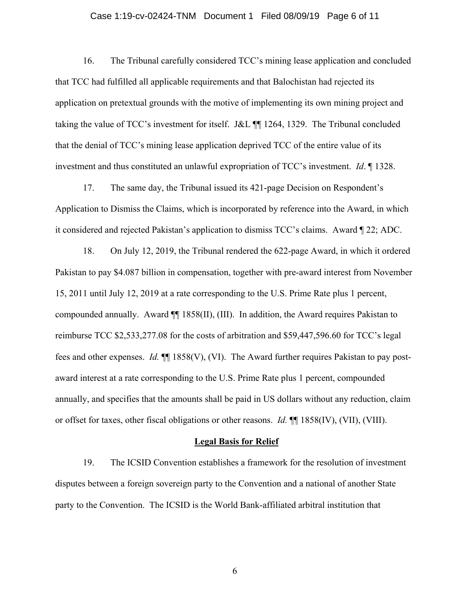#### Case 1:19-cv-02424-TNM Document 1 Filed 08/09/19 Page 6 of 11

16. The Tribunal carefully considered TCC's mining lease application and concluded that TCC had fulfilled all applicable requirements and that Balochistan had rejected its application on pretextual grounds with the motive of implementing its own mining project and taking the value of TCC's investment for itself. J&L ¶¶ 1264, 1329. The Tribunal concluded that the denial of TCC's mining lease application deprived TCC of the entire value of its investment and thus constituted an unlawful expropriation of TCC's investment. *Id*. ¶ 1328.

17. The same day, the Tribunal issued its 421-page Decision on Respondent's Application to Dismiss the Claims, which is incorporated by reference into the Award, in which it considered and rejected Pakistan's application to dismiss TCC's claims. Award ¶ 22; ADC.

18. On July 12, 2019, the Tribunal rendered the 622-page Award, in which it ordered Pakistan to pay \$4.087 billion in compensation, together with pre-award interest from November 15, 2011 until July 12, 2019 at a rate corresponding to the U.S. Prime Rate plus 1 percent, compounded annually. Award ¶¶ 1858(II), (III). In addition, the Award requires Pakistan to reimburse TCC \$2,533,277.08 for the costs of arbitration and \$59,447,596.60 for TCC's legal fees and other expenses. *Id.* ¶¶ 1858(V), (VI). The Award further requires Pakistan to pay postaward interest at a rate corresponding to the U.S. Prime Rate plus 1 percent, compounded annually, and specifies that the amounts shall be paid in US dollars without any reduction, claim or offset for taxes, other fiscal obligations or other reasons. *Id.* ¶¶ 1858(IV), (VII), (VIII).

#### **Legal Basis for Relief**

19. The ICSID Convention establishes a framework for the resolution of investment disputes between a foreign sovereign party to the Convention and a national of another State party to the Convention. The ICSID is the World Bank-affiliated arbitral institution that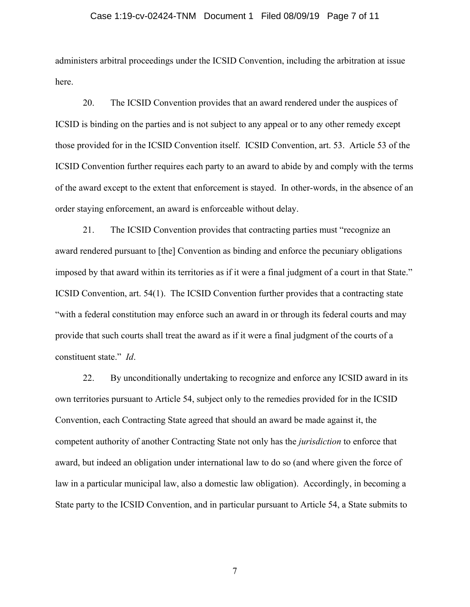#### Case 1:19-cv-02424-TNM Document 1 Filed 08/09/19 Page 7 of 11

administers arbitral proceedings under the ICSID Convention, including the arbitration at issue here.

20. The ICSID Convention provides that an award rendered under the auspices of ICSID is binding on the parties and is not subject to any appeal or to any other remedy except those provided for in the ICSID Convention itself. ICSID Convention, art. 53. Article 53 of the ICSID Convention further requires each party to an award to abide by and comply with the terms of the award except to the extent that enforcement is stayed. In other-words, in the absence of an order staying enforcement, an award is enforceable without delay.

21. The ICSID Convention provides that contracting parties must "recognize an award rendered pursuant to [the] Convention as binding and enforce the pecuniary obligations imposed by that award within its territories as if it were a final judgment of a court in that State." ICSID Convention, art. 54(1). The ICSID Convention further provides that a contracting state "with a federal constitution may enforce such an award in or through its federal courts and may provide that such courts shall treat the award as if it were a final judgment of the courts of a constituent state." *Id*.

22. By unconditionally undertaking to recognize and enforce any ICSID award in its own territories pursuant to Article 54, subject only to the remedies provided for in the ICSID Convention, each Contracting State agreed that should an award be made against it, the competent authority of another Contracting State not only has the *jurisdiction* to enforce that award, but indeed an obligation under international law to do so (and where given the force of law in a particular municipal law, also a domestic law obligation). Accordingly, in becoming a State party to the ICSID Convention, and in particular pursuant to Article 54, a State submits to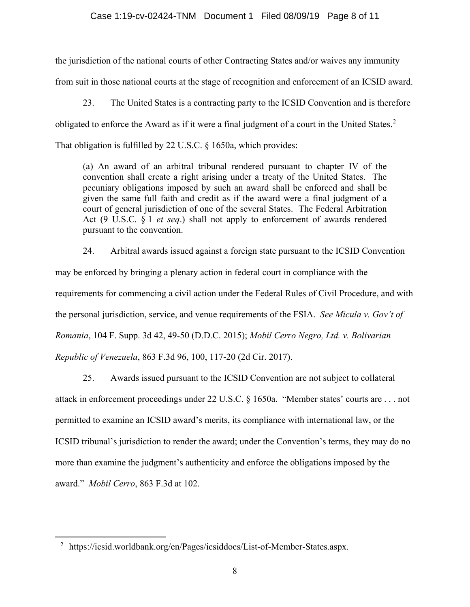## Case 1:19-cv-02424-TNM Document 1 Filed 08/09/19 Page 8 of 11

the jurisdiction of the national courts of other Contracting States and/or waives any immunity from suit in those national courts at the stage of recognition and enforcement of an ICSID award.

23. The United States is a contracting party to the ICSID Convention and is therefore obligated to enforce the Award as if it were a final judgment of a court in the United States.<sup>[2](#page-7-0)</sup> That obligation is fulfilled by 22 U.S.C. § 1650a, which provides:

(a) An award of an arbitral tribunal rendered pursuant to chapter IV of the convention shall create a right arising under a treaty of the United States. The pecuniary obligations imposed by such an award shall be enforced and shall be given the same full faith and credit as if the award were a final judgment of a court of general jurisdiction of one of the several States. The Federal Arbitration Act (9 U.S.C. § 1 *et seq*.) shall not apply to enforcement of awards rendered pursuant to the convention.

24. Arbitral awards issued against a foreign state pursuant to the ICSID Convention may be enforced by bringing a plenary action in federal court in compliance with the requirements for commencing a civil action under the Federal Rules of Civil Procedure, and with the personal jurisdiction, service, and venue requirements of the FSIA. *See Micula v. Gov't of Romania*, 104 F. Supp. 3d 42, 49-50 (D.D.C. 2015); *Mobil Cerro Negro, Ltd. v. Bolivarian Republic of Venezuela*, 863 F.3d 96, 100, 117-20 (2d Cir. 2017).

25. Awards issued pursuant to the ICSID Convention are not subject to collateral attack in enforcement proceedings under 22 U.S.C. § 1650a. "Member states' courts are . . . not permitted to examine an ICSID award's merits, its compliance with international law, or the ICSID tribunal's jurisdiction to render the award; under the Convention's terms, they may do no more than examine the judgment's authenticity and enforce the obligations imposed by the award." *Mobil Cerro*, 863 F.3d at 102.

<span id="page-7-0"></span><sup>&</sup>lt;sup>2</sup> https://icsid.worldbank.org/en/Pages/icsiddocs/List-of-Member-States.aspx.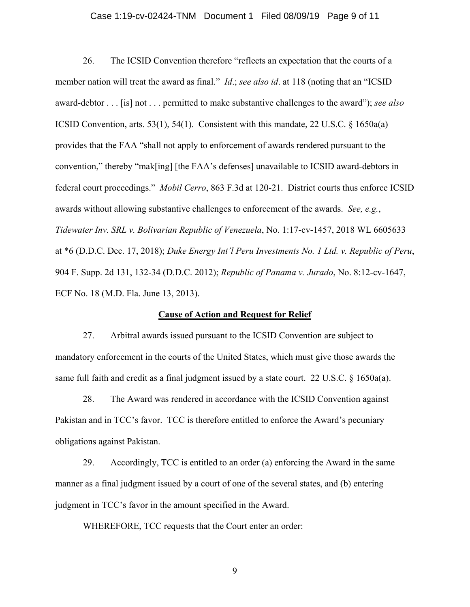#### Case 1:19-cv-02424-TNM Document 1 Filed 08/09/19 Page 9 of 11

26. The ICSID Convention therefore "reflects an expectation that the courts of a member nation will treat the award as final." *Id*.; *see also id*. at 118 (noting that an "ICSID award-debtor . . . [is] not . . . permitted to make substantive challenges to the award"); *see also*  ICSID Convention, arts. 53(1), 54(1). Consistent with this mandate, 22 U.S.C. § 1650a(a) provides that the FAA "shall not apply to enforcement of awards rendered pursuant to the convention," thereby "mak[ing] [the FAA's defenses] unavailable to ICSID award-debtors in federal court proceedings." *Mobil Cerro*, 863 F.3d at 120-21. District courts thus enforce ICSID awards without allowing substantive challenges to enforcement of the awards. *See, e.g.*, *Tidewater Inv. SRL v. Bolivarian Republic of Venezuela*, No. 1:17-cv-1457, 2018 WL 6605633 at \*6 (D.D.C. Dec. 17, 2018); *Duke Energy Int'l Peru Investments No. 1 Ltd. v. Republic of Peru*, 904 F. Supp. 2d 131, 132-34 (D.D.C. 2012); *Republic of Panama v. Jurado*, No. 8:12-cv-1647, ECF No. 18 (M.D. Fla. June 13, 2013).

## **Cause of Action and Request for Relief**

27. Arbitral awards issued pursuant to the ICSID Convention are subject to mandatory enforcement in the courts of the United States, which must give those awards the same full faith and credit as a final judgment issued by a state court. 22 U.S.C. § 1650a(a).

28. The Award was rendered in accordance with the ICSID Convention against Pakistan and in TCC's favor. TCC is therefore entitled to enforce the Award's pecuniary obligations against Pakistan.

29. Accordingly, TCC is entitled to an order (a) enforcing the Award in the same manner as a final judgment issued by a court of one of the several states, and (b) entering judgment in TCC's favor in the amount specified in the Award.

WHEREFORE, TCC requests that the Court enter an order: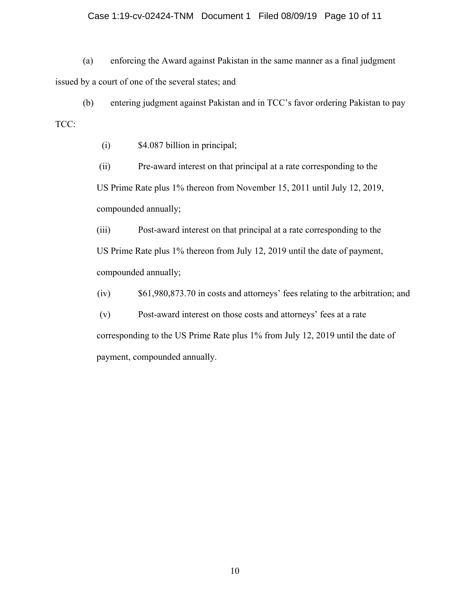## Case 1:19-cv-02424-TNM Document 1 Filed 08/09/19 Page 10 of 11

(a) enforcing the Award against Pakistan in the same manner as a final judgment issued by a court of one of the several states; and

(b) entering judgment against Pakistan and in TCC's favor ordering Pakistan to pay TCC:

(i) \$4.087 billion in principal;

(ii) Pre-award interest on that principal at a rate corresponding to the US Prime Rate plus 1% thereon from November 15, 2011 until July 12, 2019, compounded annually;

(iii) Post-award interest on that principal at a rate corresponding to the US Prime Rate plus 1% thereon from July 12, 2019 until the date of payment, compounded annually;

(iv) \$61,980,873.70 in costs and attorneys' fees relating to the arbitration; and

(v) Post-award interest on those costs and attorneys' fees at a rate corresponding to the US Prime Rate plus 1% from July 12, 2019 until the date of payment, compounded annually.